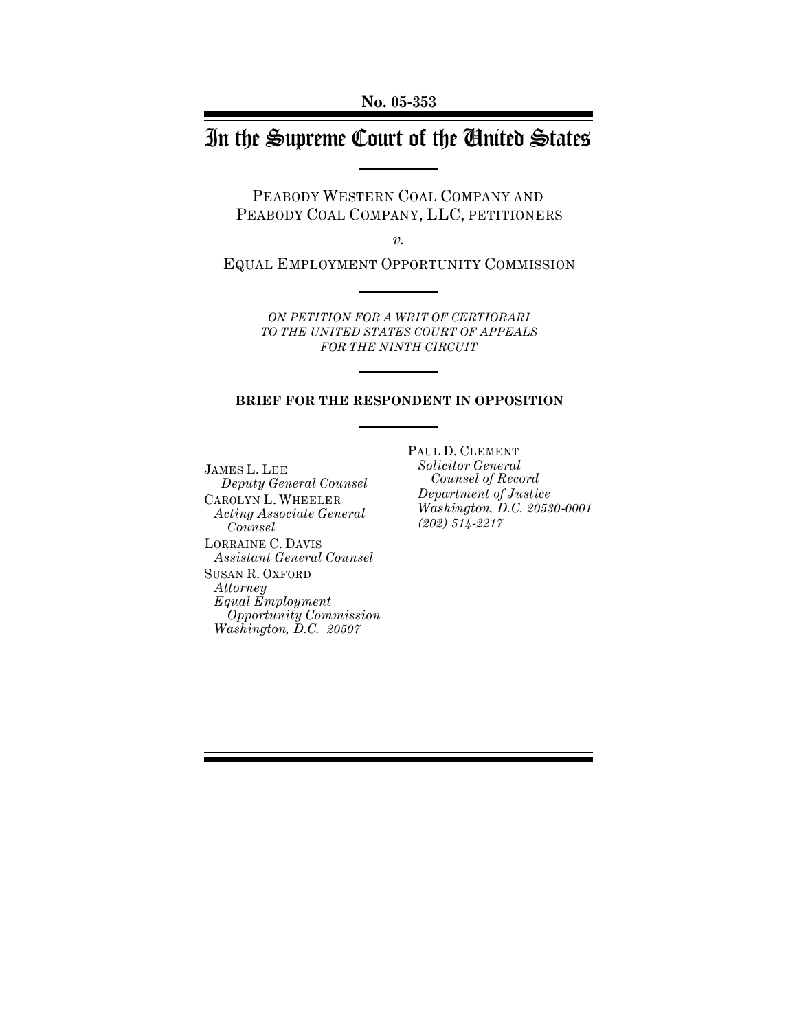# In the Supreme Court of the United States

PEABODY WESTERN COAL COMPANY AND PEABODY COAL COMPANY, LLC, PETITIONERS

*v.*

EQUAL EMPLOYMENT OPPORTUNITY COMMISSION

*ON PETITION FOR A WRIT OF CERTIORARI TO THE UNITED STATES COURT OF APPEALS FOR THE NINTH CIRCUIT*

#### **BRIEF FOR THE RESPONDENT IN OPPOSITION**

JAMES L. LEE  *Deputy General Counsel* CAROLYN L. WHEELER *Acting Associate General Counsel* LORRAINE C. DAVIS *Assistant General Counsel* SUSAN R. OXFORD *Attorney Equal Employment Opportunity Commission Washington, D.C. 20507*

PAUL D. CLEMENT *Solicitor General Counsel of Record Department of Justice Washington, D.C. 20530-0001 (202) 514-2217*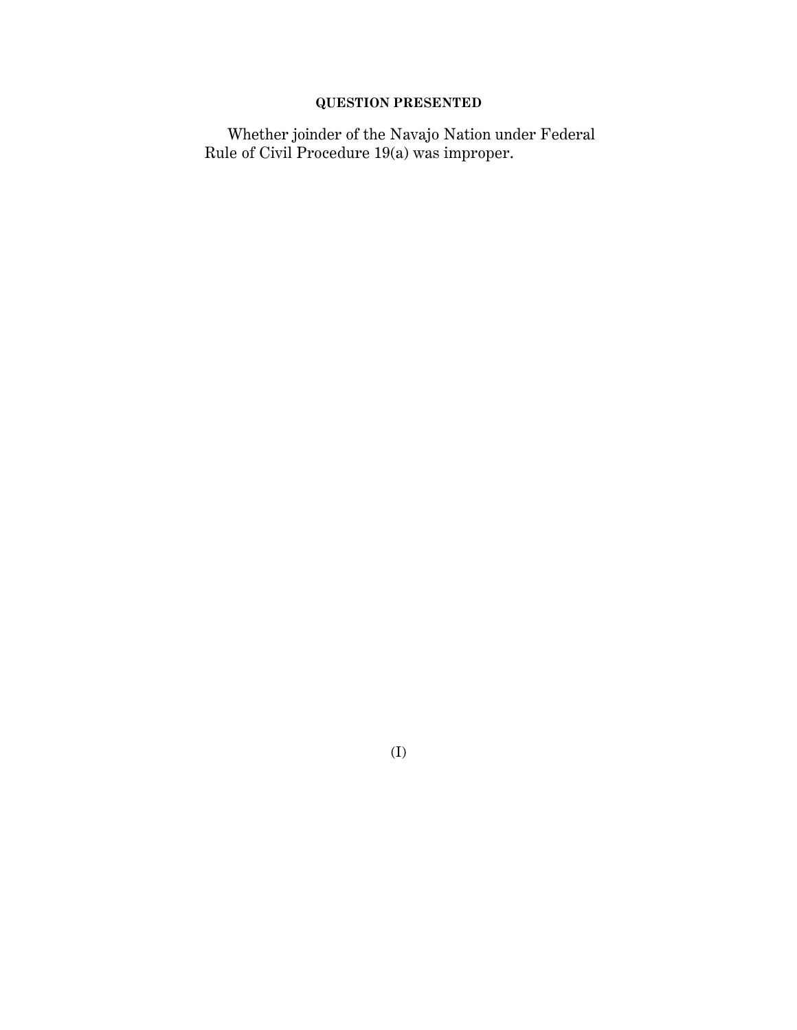## **QUESTION PRESENTED**

Whether joinder of the Navajo Nation under Federal Rule of Civil Procedure 19(a) was improper.

(I)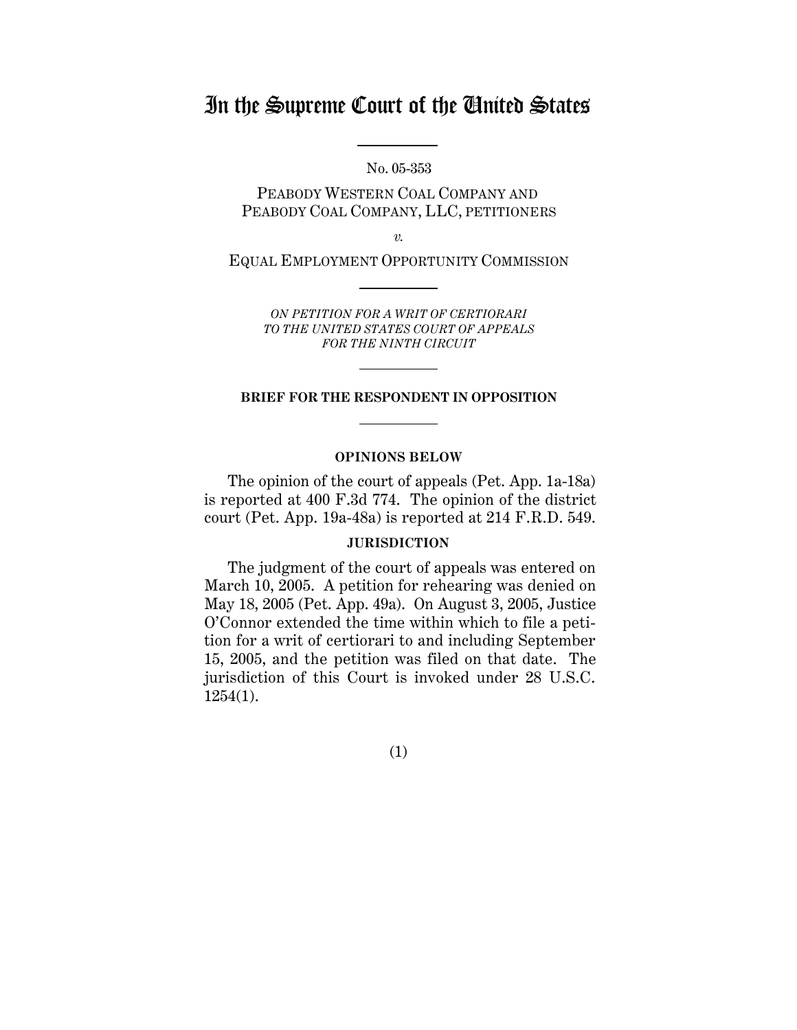## In the Supreme Court of the United States

No. 05-353

PEABODY WESTERN COAL COMPANY AND PEABODY COAL COMPANY, LLC, PETITIONERS

*v.*

EQUAL EMPLOYMENT OPPORTUNITY COMMISSION

*ON PETITION FOR A WRIT OF CERTIORARI TO THE UNITED STATES COURT OF APPEALS FOR THE NINTH CIRCUIT*

#### **BRIEF FOR THE RESPONDENT IN OPPOSITION**

#### **OPINIONS BELOW**

The opinion of the court of appeals (Pet. App. 1a-18a) is reported at 400 F.3d 774. The opinion of the district court (Pet. App. 19a-48a) is reported at 214 F.R.D. 549.

#### **JURISDICTION**

The judgment of the court of appeals was entered on March 10, 2005. A petition for rehearing was denied on May 18, 2005 (Pet. App. 49a). On August 3, 2005, Justice O'Connor extended the time within which to file a petition for a writ of certiorari to and including September 15, 2005, and the petition was filed on that date. The jurisdiction of this Court is invoked under 28 U.S.C. 1254(1).

(1)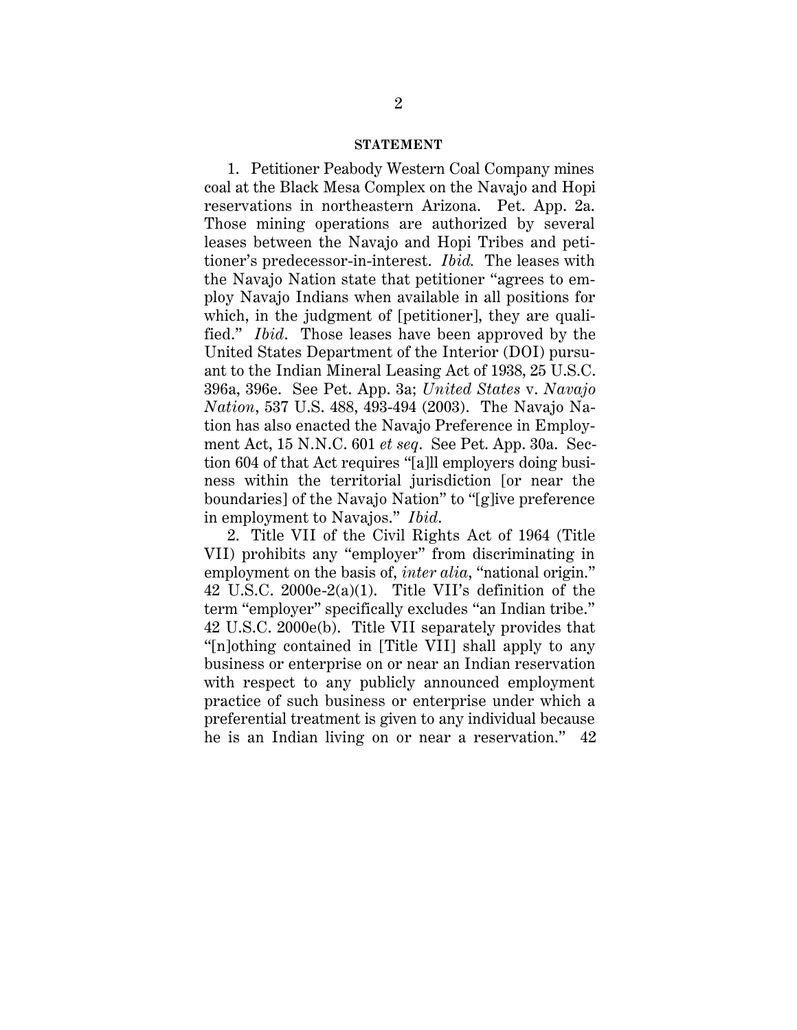#### **STATEMENT**

1. Petitioner Peabody Western Coal Company mines coal at the Black Mesa Complex on the Navajo and Hopi reservations in northeastern Arizona. Pet. App. 2a. Those mining operations are authorized by several leases between the Navajo and Hopi Tribes and petitioner's predecessor-in-interest. *Ibid.* The leases with the Navajo Nation state that petitioner "agrees to employ Navajo Indians when available in all positions for which, in the judgment of [petitioner], they are qualified." *Ibid*. Those leases have been approved by the United States Department of the Interior (DOI) pursuant to the Indian Mineral Leasing Act of 1938, 25 U.S.C. 396a, 396e. See Pet. App. 3a; *United States* v. *Navajo Nation*, 537 U.S. 488, 493-494 (2003). The Navajo Nation has also enacted the Navajo Preference in Employment Act, 15 N.N.C. 601 *et seq*. See Pet. App. 30a. Section 604 of that Act requires "[a]ll employers doing business within the territorial jurisdiction [or near the boundaries] of the Navajo Nation" to "[g]ive preference in employment to Navajos." *Ibid*.

2. Title VII of the Civil Rights Act of 1964 (Title VII) prohibits any "employer" from discriminating in employment on the basis of, *inter alia*, "national origin." 42 U.S.C. 2000e-2(a)(1). Title VII's definition of the term "employer" specifically excludes "an Indian tribe." 42 U.S.C. 2000e(b). Title VII separately provides that "[n]othing contained in [Title VII] shall apply to any business or enterprise on or near an Indian reservation with respect to any publicly announced employment practice of such business or enterprise under which a preferential treatment is given to any individual because he is an Indian living on or near a reservation." 42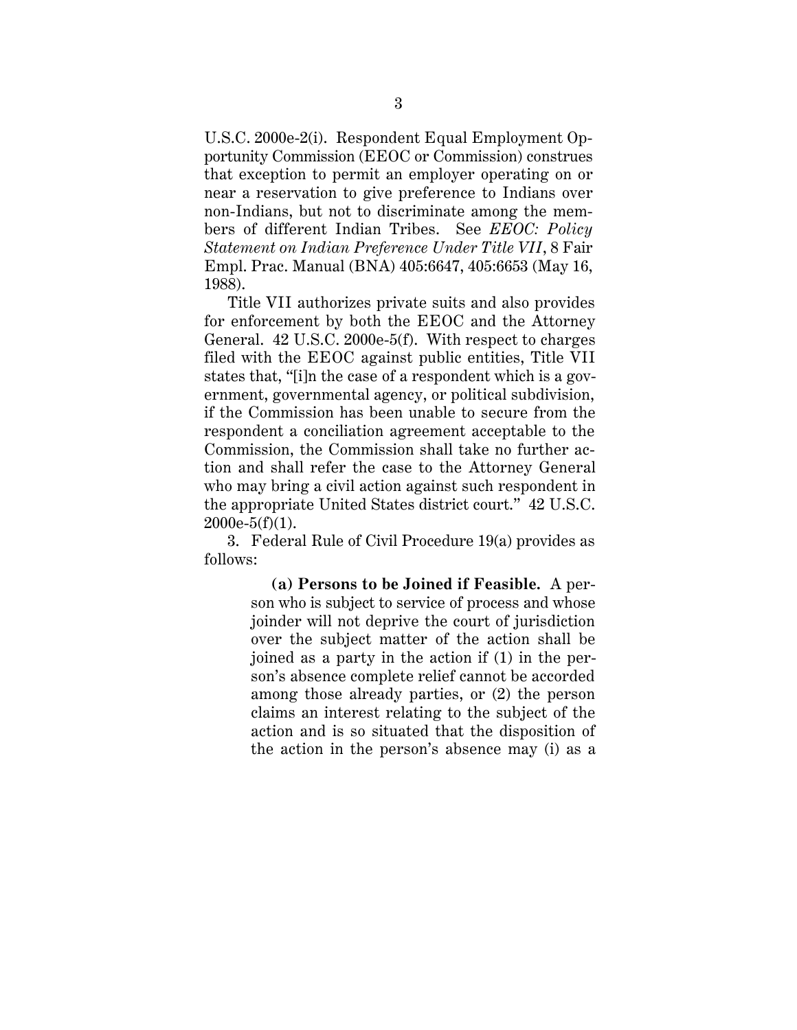U.S.C. 2000e-2(i). Respondent Equal Employment Opportunity Commission (EEOC or Commission) construes that exception to permit an employer operating on or near a reservation to give preference to Indians over non-Indians, but not to discriminate among the members of different Indian Tribes. See *EEOC: Policy Statement on Indian Preference Under Title VII*, 8 Fair Empl. Prac. Manual (BNA) 405:6647, 405:6653 (May 16, 1988).

Title VII authorizes private suits and also provides for enforcement by both the EEOC and the Attorney General. 42 U.S.C. 2000e-5(f). With respect to charges filed with the EEOC against public entities, Title VII states that, "[i]n the case of a respondent which is a government, governmental agency, or political subdivision, if the Commission has been unable to secure from the respondent a conciliation agreement acceptable to the Commission, the Commission shall take no further action and shall refer the case to the Attorney General who may bring a civil action against such respondent in the appropriate United States district court." 42 U.S.C.  $2000e-5(f)(1)$ .

3. Federal Rule of Civil Procedure 19(a) provides as follows:

> **(a) Persons to be Joined if Feasible.** A person who is subject to service of process and whose joinder will not deprive the court of jurisdiction over the subject matter of the action shall be joined as a party in the action if (1) in the person's absence complete relief cannot be accorded among those already parties, or (2) the person claims an interest relating to the subject of the action and is so situated that the disposition of the action in the person's absence may (i) as a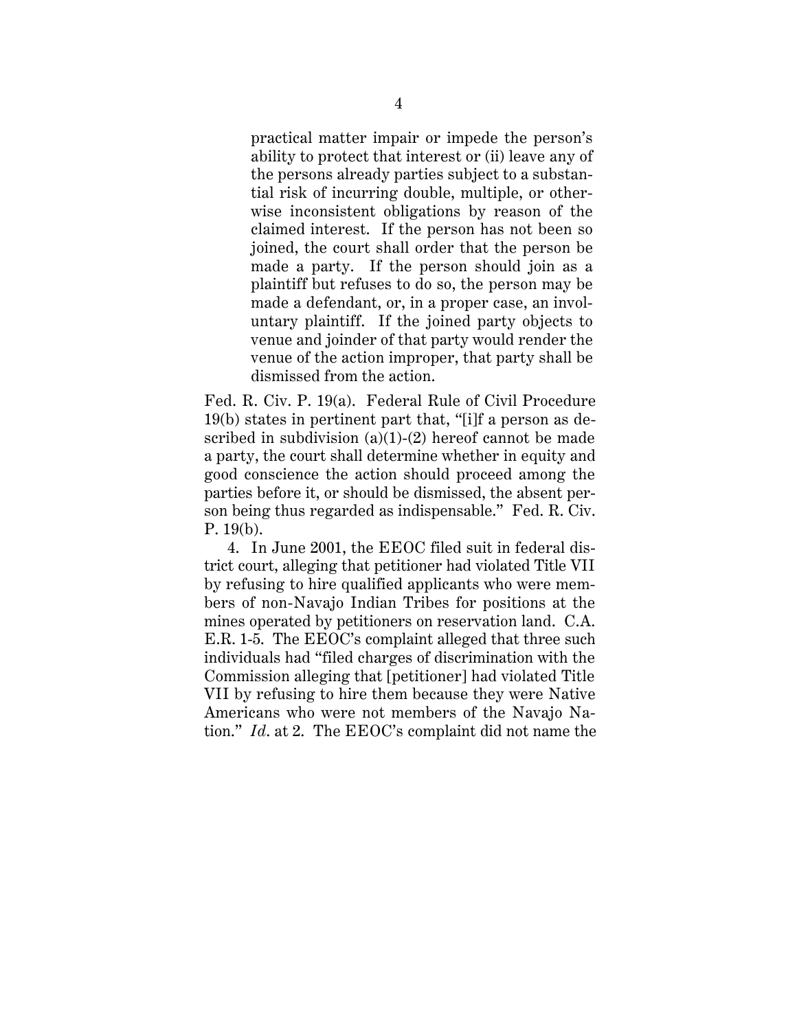practical matter impair or impede the person's ability to protect that interest or (ii) leave any of the persons already parties subject to a substantial risk of incurring double, multiple, or otherwise inconsistent obligations by reason of the claimed interest. If the person has not been so joined, the court shall order that the person be made a party. If the person should join as a plaintiff but refuses to do so, the person may be made a defendant, or, in a proper case, an involuntary plaintiff. If the joined party objects to venue and joinder of that party would render the venue of the action improper, that party shall be dismissed from the action.

Fed. R. Civ. P. 19(a). Federal Rule of Civil Procedure 19(b) states in pertinent part that, "[i]f a person as described in subdivision  $(a)(1)-(2)$  hereof cannot be made a party, the court shall determine whether in equity and good conscience the action should proceed among the parties before it, or should be dismissed, the absent person being thus regarded as indispensable." Fed. R. Civ. P. 19(b).

4. In June 2001, the EEOC filed suit in federal district court, alleging that petitioner had violated Title VII by refusing to hire qualified applicants who were members of non-Navajo Indian Tribes for positions at the mines operated by petitioners on reservation land. C.A. E.R. 1-5. The EEOC's complaint alleged that three such individuals had "filed charges of discrimination with the Commission alleging that [petitioner] had violated Title VII by refusing to hire them because they were Native Americans who were not members of the Navajo Nation." *Id*. at 2. The EEOC's complaint did not name the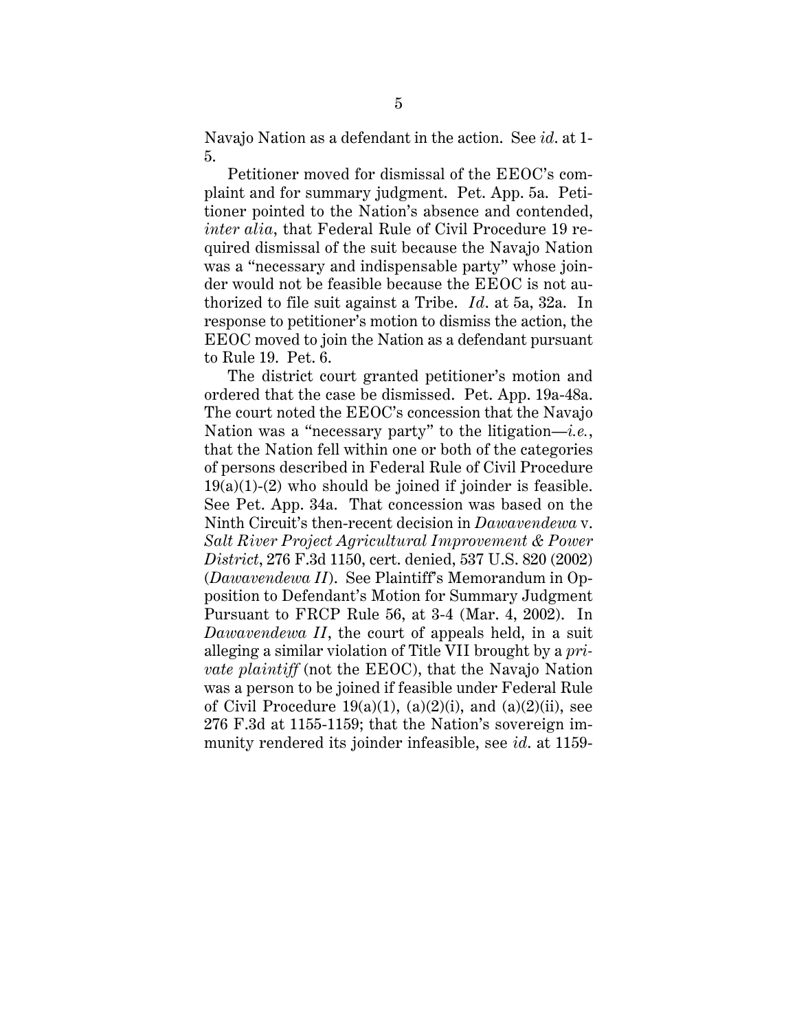Navajo Nation as a defendant in the action. See *id*. at 1- 5.

Petitioner moved for dismissal of the EEOC's complaint and for summary judgment. Pet. App. 5a. Petitioner pointed to the Nation's absence and contended, *inter alia*, that Federal Rule of Civil Procedure 19 required dismissal of the suit because the Navajo Nation was a "necessary and indispensable party" whose joinder would not be feasible because the EEOC is not authorized to file suit against a Tribe. *Id*. at 5a, 32a. In response to petitioner's motion to dismiss the action, the EEOC moved to join the Nation as a defendant pursuant to Rule 19. Pet. 6.

The district court granted petitioner's motion and ordered that the case be dismissed. Pet. App. 19a-48a. The court noted the EEOC's concession that the Navajo Nation was a "necessary party" to the litigation—*i.e.*, that the Nation fell within one or both of the categories of persons described in Federal Rule of Civil Procedure  $19(a)(1)-(2)$  who should be joined if joinder is feasible. See Pet. App. 34a. That concession was based on the Ninth Circuit's then-recent decision in *Dawavendewa* v. *Salt River Project Agricultural Improvement & Power District*, 276 F.3d 1150, cert. denied, 537 U.S. 820 (2002) (*Dawavendewa II*). See Plaintiff's Memorandum in Opposition to Defendant's Motion for Summary Judgment Pursuant to FRCP Rule 56, at 3-4 (Mar. 4, 2002). In *Dawavendewa II*, the court of appeals held, in a suit alleging a similar violation of Title VII brought by a *private plaintiff* (not the EEOC), that the Navajo Nation was a person to be joined if feasible under Federal Rule of Civil Procedure  $19(a)(1)$ ,  $(a)(2)(i)$ , and  $(a)(2)(ii)$ , see 276 F.3d at 1155-1159; that the Nation's sovereign immunity rendered its joinder infeasible, see *id*. at 1159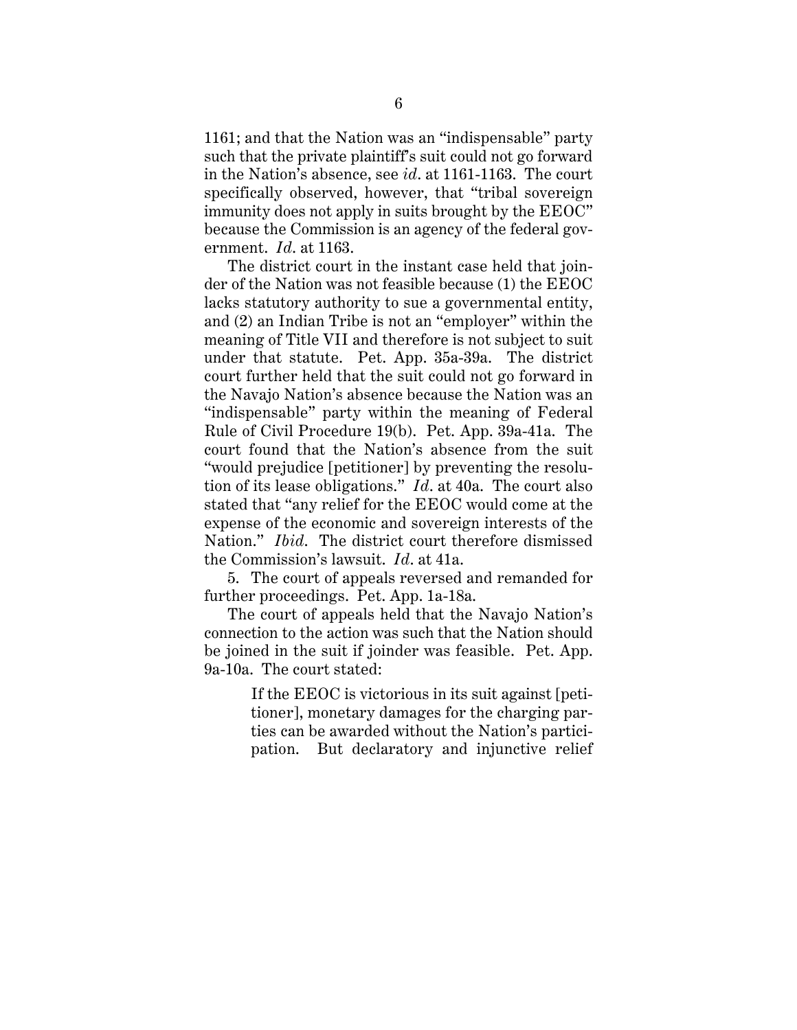1161; and that the Nation was an "indispensable" party such that the private plaintiff's suit could not go forward in the Nation's absence, see *id*. at 1161-1163. The court specifically observed, however, that "tribal sovereign immunity does not apply in suits brought by the EEOC" because the Commission is an agency of the federal government. *Id*. at 1163.

The district court in the instant case held that joinder of the Nation was not feasible because (1) the EEOC lacks statutory authority to sue a governmental entity, and (2) an Indian Tribe is not an "employer" within the meaning of Title VII and therefore is not subject to suit under that statute. Pet. App. 35a-39a. The district court further held that the suit could not go forward in the Navajo Nation's absence because the Nation was an "indispensable" party within the meaning of Federal Rule of Civil Procedure 19(b). Pet. App. 39a-41a. The court found that the Nation's absence from the suit "would prejudice [petitioner] by preventing the resolution of its lease obligations." *Id*. at 40a. The court also stated that "any relief for the EEOC would come at the expense of the economic and sovereign interests of the Nation." *Ibid*. The district court therefore dismissed the Commission's lawsuit. *Id*. at 41a.

5. The court of appeals reversed and remanded for further proceedings. Pet. App. 1a-18a.

The court of appeals held that the Navajo Nation's connection to the action was such that the Nation should be joined in the suit if joinder was feasible. Pet. App. 9a-10a. The court stated:

> If the EEOC is victorious in its suit against [petitioner], monetary damages for the charging parties can be awarded without the Nation's participation. But declaratory and injunctive relief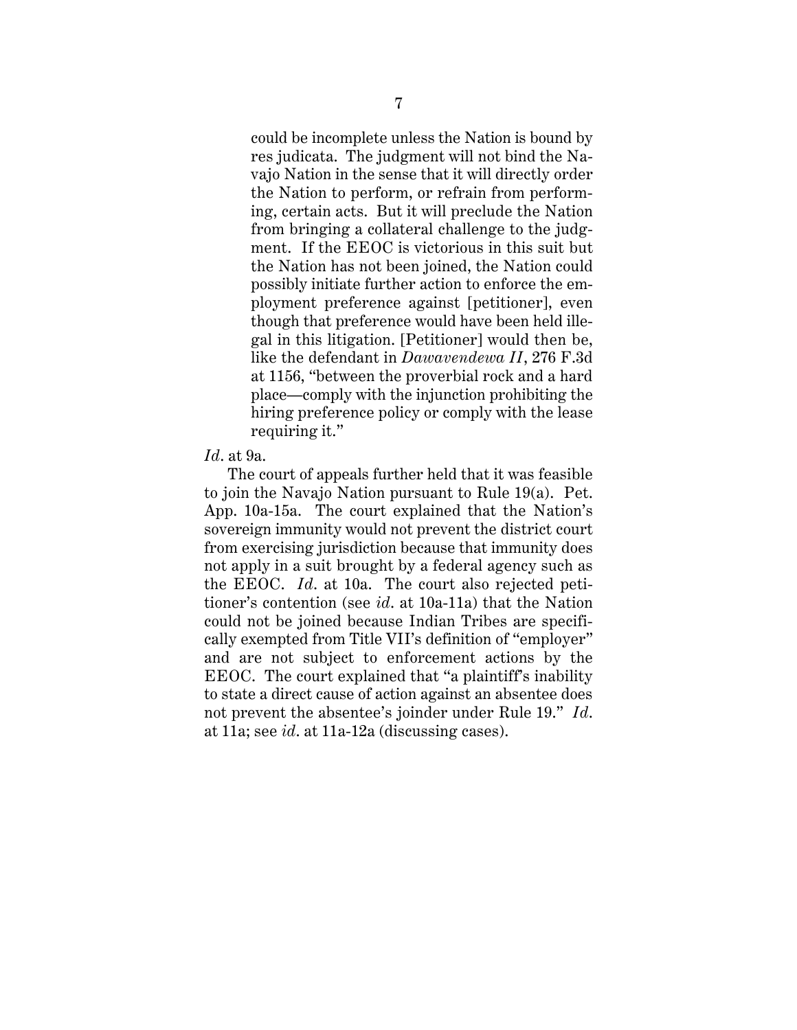could be incomplete unless the Nation is bound by res judicata. The judgment will not bind the Navajo Nation in the sense that it will directly order the Nation to perform, or refrain from performing, certain acts. But it will preclude the Nation from bringing a collateral challenge to the judgment. If the EEOC is victorious in this suit but the Nation has not been joined, the Nation could possibly initiate further action to enforce the employment preference against [petitioner], even though that preference would have been held illegal in this litigation. [Petitioner] would then be, like the defendant in *Dawavendewa II*, 276 F.3d at 1156, "between the proverbial rock and a hard place—comply with the injunction prohibiting the hiring preference policy or comply with the lease requiring it."

#### *Id*. at 9a.

The court of appeals further held that it was feasible to join the Navajo Nation pursuant to Rule 19(a). Pet. App. 10a-15a. The court explained that the Nation's sovereign immunity would not prevent the district court from exercising jurisdiction because that immunity does not apply in a suit brought by a federal agency such as the EEOC. *Id*. at 10a. The court also rejected petitioner's contention (see *id*. at 10a-11a) that the Nation could not be joined because Indian Tribes are specifically exempted from Title VII's definition of "employer" and are not subject to enforcement actions by the EEOC. The court explained that "a plaintiff's inability to state a direct cause of action against an absentee does not prevent the absentee's joinder under Rule 19." *Id*. at 11a; see *id*. at 11a-12a (discussing cases).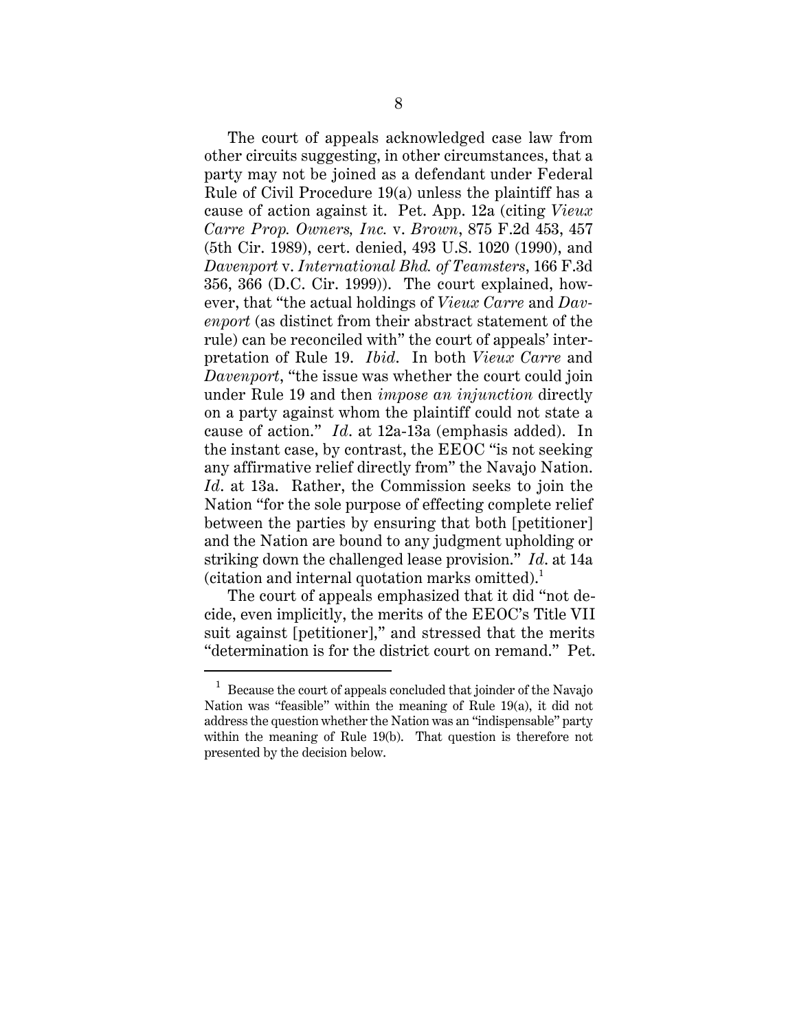The court of appeals acknowledged case law from other circuits suggesting, in other circumstances, that a party may not be joined as a defendant under Federal Rule of Civil Procedure 19(a) unless the plaintiff has a cause of action against it. Pet. App. 12a (citing *Vieux Carre Prop. Owners, Inc.* v. *Brown*, 875 F.2d 453, 457 (5th Cir. 1989), cert. denied, 493 U.S. 1020 (1990), and *Davenport* v. *International Bhd. of Teamsters*, 166 F.3d 356, 366 (D.C. Cir. 1999)). The court explained, however, that "the actual holdings of *Vieux Carre* and *Davenport* (as distinct from their abstract statement of the rule) can be reconciled with" the court of appeals' interpretation of Rule 19. *Ibid*. In both *Vieux Carre* and *Davenport*, "the issue was whether the court could join under Rule 19 and then *impose an injunction* directly on a party against whom the plaintiff could not state a cause of action." *Id*. at 12a-13a (emphasis added). In the instant case, by contrast, the EEOC "is not seeking any affirmative relief directly from" the Navajo Nation. *Id*. at 13a. Rather, the Commission seeks to join the Nation "for the sole purpose of effecting complete relief between the parties by ensuring that both [petitioner] and the Nation are bound to any judgment upholding or striking down the challenged lease provision." *Id*. at 14a (citation and internal quotation marks omitted). $<sup>1</sup>$ </sup>

The court of appeals emphasized that it did "not decide, even implicitly, the merits of the EEOC's Title VII suit against [petitioner]," and stressed that the merits "determination is for the district court on remand." Pet.

 $1$  Because the court of appeals concluded that joinder of the Navajo Nation was "feasible" within the meaning of Rule 19(a), it did not address the question whether the Nation was an "indispensable" party within the meaning of Rule 19(b). That question is therefore not presented by the decision below.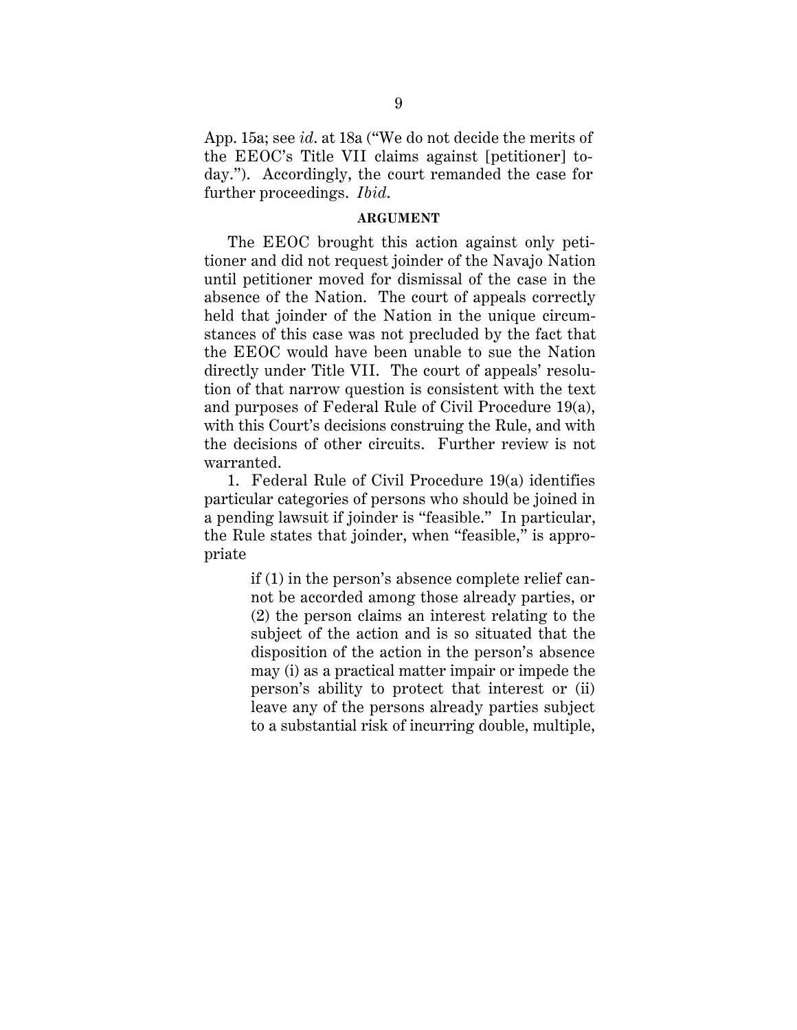App. 15a; see *id*. at 18a ("We do not decide the merits of the EEOC's Title VII claims against [petitioner] today."). Accordingly, the court remanded the case for further proceedings. *Ibid*.

#### **ARGUMENT**

The EEOC brought this action against only petitioner and did not request joinder of the Navajo Nation until petitioner moved for dismissal of the case in the absence of the Nation. The court of appeals correctly held that joinder of the Nation in the unique circumstances of this case was not precluded by the fact that the EEOC would have been unable to sue the Nation directly under Title VII. The court of appeals' resolution of that narrow question is consistent with the text and purposes of Federal Rule of Civil Procedure 19(a), with this Court's decisions construing the Rule, and with the decisions of other circuits. Further review is not warranted.

1. Federal Rule of Civil Procedure 19(a) identifies particular categories of persons who should be joined in a pending lawsuit if joinder is "feasible." In particular, the Rule states that joinder, when "feasible," is appropriate

> if (1) in the person's absence complete relief cannot be accorded among those already parties, or (2) the person claims an interest relating to the subject of the action and is so situated that the disposition of the action in the person's absence may (i) as a practical matter impair or impede the person's ability to protect that interest or (ii) leave any of the persons already parties subject to a substantial risk of incurring double, multiple,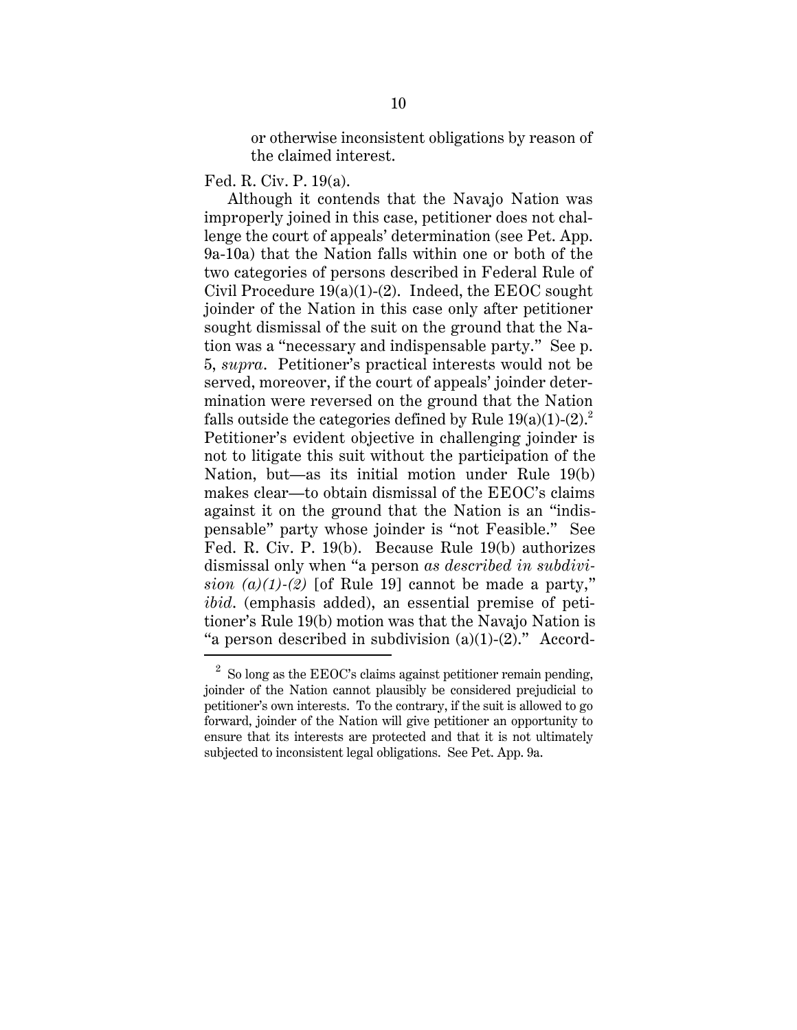or otherwise inconsistent obligations by reason of the claimed interest.

Fed. R. Civ. P. 19(a).

Although it contends that the Navajo Nation was improperly joined in this case, petitioner does not challenge the court of appeals' determination (see Pet. App. 9a-10a) that the Nation falls within one or both of the two categories of persons described in Federal Rule of Civil Procedure  $19(a)(1)-(2)$ . Indeed, the EEOC sought joinder of the Nation in this case only after petitioner sought dismissal of the suit on the ground that the Nation was a "necessary and indispensable party." See p. 5, *supra*. Petitioner's practical interests would not be served, moreover, if the court of appeals' joinder determination were reversed on the ground that the Nation falls outside the categories defined by Rule  $19(a)(1)-(2)^2$ . Petitioner's evident objective in challenging joinder is not to litigate this suit without the participation of the Nation, but—as its initial motion under Rule 19(b) makes clear—to obtain dismissal of the EEOC's claims against it on the ground that the Nation is an "indispensable" party whose joinder is "not Feasible." See Fed. R. Civ. P. 19(b). Because Rule 19(b) authorizes dismissal only when "a person *as described in subdivision*  $(a)(1)-(2)$  [of Rule 19] cannot be made a party," *ibid*. (emphasis added), an essential premise of petitioner's Rule 19(b) motion was that the Navajo Nation is "a person described in subdivision  $(a)(1)-(2)$ ." Accord-

 $2^2$  So long as the EEOC's claims against petitioner remain pending, joinder of the Nation cannot plausibly be considered prejudicial to petitioner's own interests. To the contrary, if the suit is allowed to go forward, joinder of the Nation will give petitioner an opportunity to ensure that its interests are protected and that it is not ultimately subjected to inconsistent legal obligations. See Pet. App. 9a.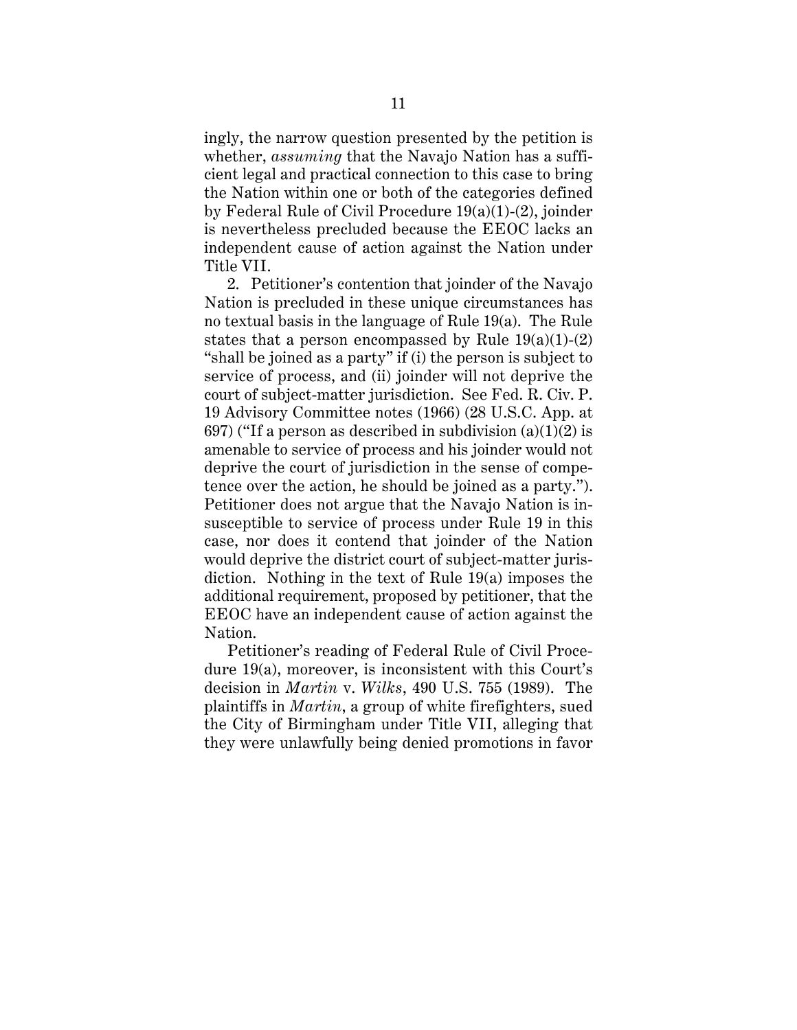ingly, the narrow question presented by the petition is whether, *assuming* that the Navajo Nation has a sufficient legal and practical connection to this case to bring the Nation within one or both of the categories defined by Federal Rule of Civil Procedure 19(a)(1)-(2), joinder is nevertheless precluded because the EEOC lacks an independent cause of action against the Nation under Title VII.

2. Petitioner's contention that joinder of the Navajo Nation is precluded in these unique circumstances has no textual basis in the language of Rule 19(a). The Rule states that a person encompassed by Rule  $19(a)(1)-(2)$ "shall be joined as a party" if (i) the person is subject to service of process, and (ii) joinder will not deprive the court of subject-matter jurisdiction. See Fed. R. Civ. P. 19 Advisory Committee notes (1966) (28 U.S.C. App. at 697) ("If a person as described in subdivision  $(a)(1)(2)$  is amenable to service of process and his joinder would not deprive the court of jurisdiction in the sense of competence over the action, he should be joined as a party."). Petitioner does not argue that the Navajo Nation is insusceptible to service of process under Rule 19 in this case, nor does it contend that joinder of the Nation would deprive the district court of subject-matter jurisdiction. Nothing in the text of Rule 19(a) imposes the additional requirement, proposed by petitioner, that the EEOC have an independent cause of action against the Nation.

Petitioner's reading of Federal Rule of Civil Procedure 19(a), moreover, is inconsistent with this Court's decision in *Martin* v. *Wilks*, 490 U.S. 755 (1989). The plaintiffs in *Martin*, a group of white firefighters, sued the City of Birmingham under Title VII, alleging that they were unlawfully being denied promotions in favor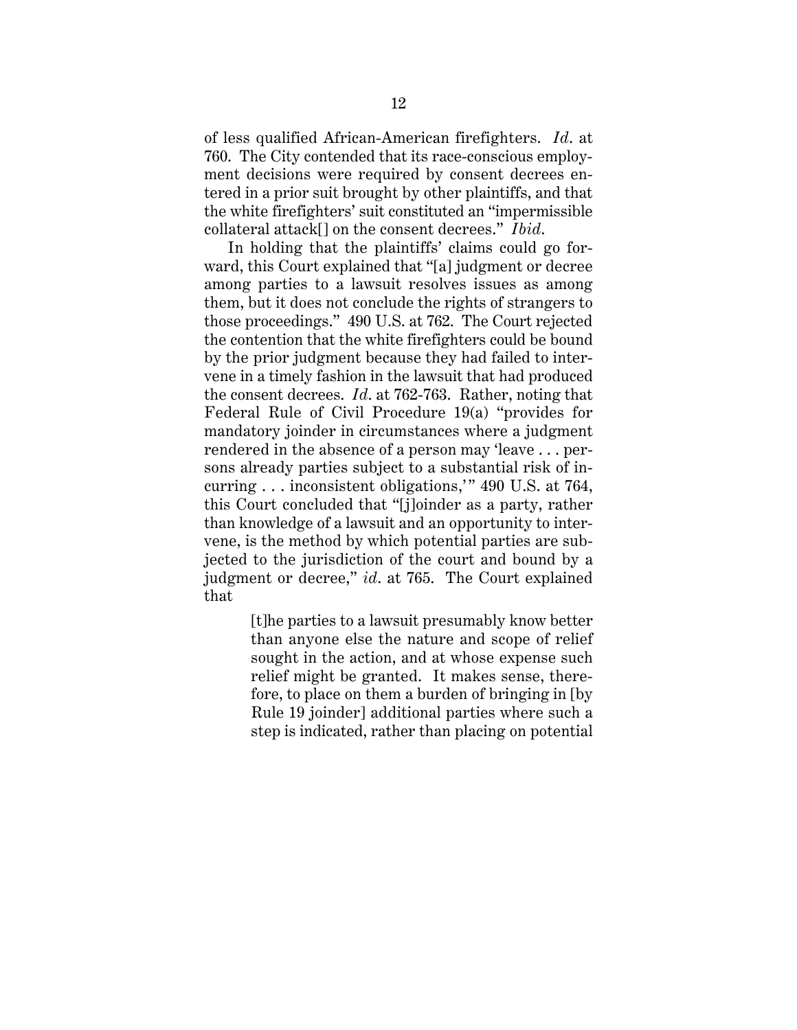of less qualified African-American firefighters. *Id*. at 760. The City contended that its race-conscious employment decisions were required by consent decrees entered in a prior suit brought by other plaintiffs, and that the white firefighters' suit constituted an "impermissible collateral attack[] on the consent decrees." *Ibid*.

In holding that the plaintiffs' claims could go forward, this Court explained that "[a] judgment or decree among parties to a lawsuit resolves issues as among them, but it does not conclude the rights of strangers to those proceedings." 490 U.S. at 762. The Court rejected the contention that the white firefighters could be bound by the prior judgment because they had failed to intervene in a timely fashion in the lawsuit that had produced the consent decrees. *Id*. at 762-763. Rather, noting that Federal Rule of Civil Procedure 19(a) "provides for mandatory joinder in circumstances where a judgment rendered in the absence of a person may 'leave . . . persons already parties subject to a substantial risk of incurring . . . inconsistent obligations,'" 490 U.S. at 764, this Court concluded that "[j]oinder as a party, rather than knowledge of a lawsuit and an opportunity to intervene, is the method by which potential parties are subjected to the jurisdiction of the court and bound by a judgment or decree," *id*. at 765. The Court explained that

> [t]he parties to a lawsuit presumably know better than anyone else the nature and scope of relief sought in the action, and at whose expense such relief might be granted. It makes sense, therefore, to place on them a burden of bringing in [by Rule 19 joinder] additional parties where such a step is indicated, rather than placing on potential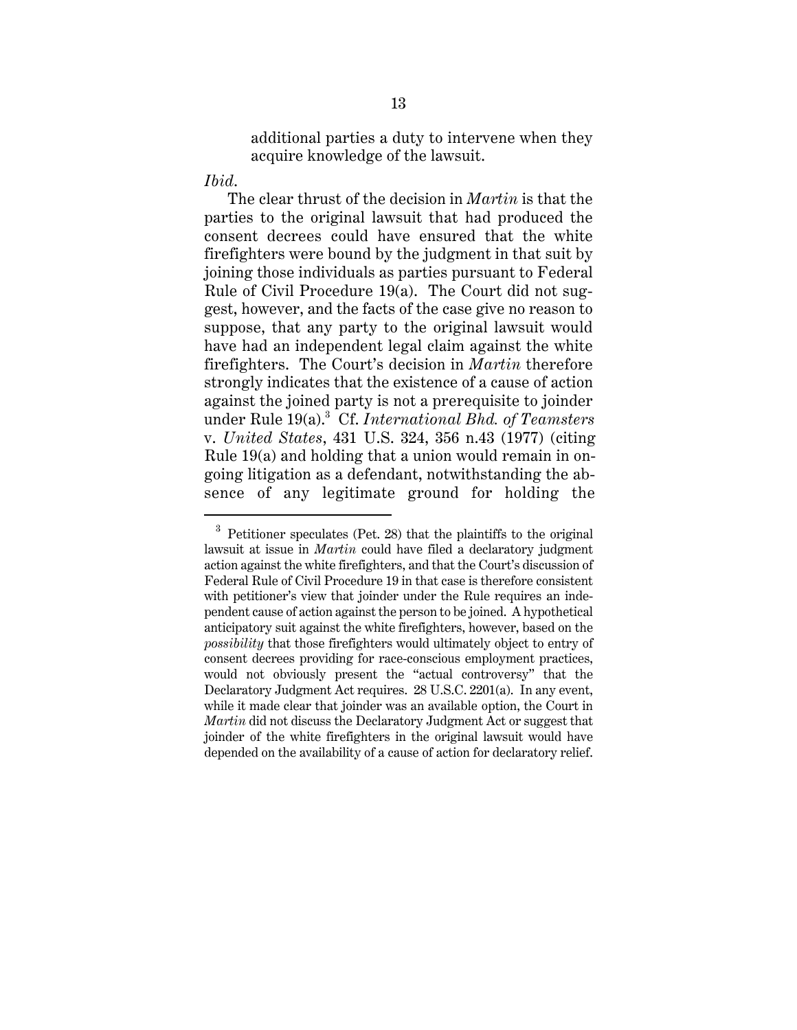additional parties a duty to intervene when they acquire knowledge of the lawsuit.

## *Ibid*.

The clear thrust of the decision in *Martin* is that the parties to the original lawsuit that had produced the consent decrees could have ensured that the white firefighters were bound by the judgment in that suit by joining those individuals as parties pursuant to Federal Rule of Civil Procedure 19(a). The Court did not suggest, however, and the facts of the case give no reason to suppose, that any party to the original lawsuit would have had an independent legal claim against the white firefighters. The Court's decision in *Martin* therefore strongly indicates that the existence of a cause of action against the joined party is not a prerequisite to joinder under Rule 19(a).<sup>3</sup> Cf. *International Bhd. of Teamsters* v. *United States*, 431 U.S. 324, 356 n.43 (1977) (citing Rule 19(a) and holding that a union would remain in ongoing litigation as a defendant, notwithstanding the absence of any legitimate ground for holding the

<sup>3</sup> Petitioner speculates (Pet. 28) that the plaintiffs to the original lawsuit at issue in *Martin* could have filed a declaratory judgment action against the white firefighters, and that the Court's discussion of Federal Rule of Civil Procedure 19 in that case is therefore consistent with petitioner's view that joinder under the Rule requires an independent cause of action against the person to be joined. A hypothetical anticipatory suit against the white firefighters, however, based on the *possibility* that those firefighters would ultimately object to entry of consent decrees providing for race-conscious employment practices, would not obviously present the "actual controversy" that the Declaratory Judgment Act requires. 28 U.S.C. 2201(a). In any event, while it made clear that joinder was an available option, the Court in *Martin* did not discuss the Declaratory Judgment Act or suggest that joinder of the white firefighters in the original lawsuit would have depended on the availability of a cause of action for declaratory relief.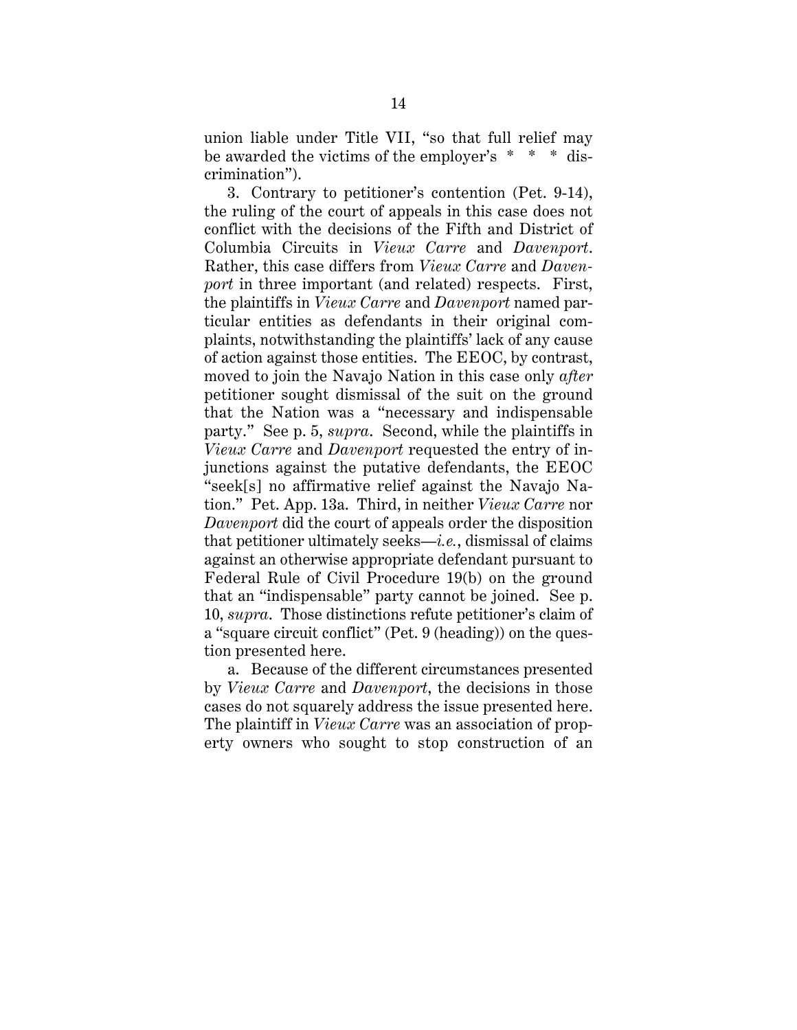union liable under Title VII, "so that full relief may be awarded the victims of the employer's \* \* \* discrimination").

3. Contrary to petitioner's contention (Pet. 9-14), the ruling of the court of appeals in this case does not conflict with the decisions of the Fifth and District of Columbia Circuits in *Vieux Carre* and *Davenport*. Rather, this case differs from *Vieux Carre* and *Davenport* in three important (and related) respects. First, the plaintiffs in *Vieux Carre* and *Davenport* named particular entities as defendants in their original complaints, notwithstanding the plaintiffs' lack of any cause of action against those entities. The EEOC, by contrast, moved to join the Navajo Nation in this case only *after* petitioner sought dismissal of the suit on the ground that the Nation was a "necessary and indispensable party." See p. 5, *supra*. Second, while the plaintiffs in *Vieux Carre* and *Davenport* requested the entry of injunctions against the putative defendants, the EEOC "seek[s] no affirmative relief against the Navajo Nation." Pet. App. 13a. Third, in neither *Vieux Carre* nor *Davenport* did the court of appeals order the disposition that petitioner ultimately seeks—*i.e.*, dismissal of claims against an otherwise appropriate defendant pursuant to Federal Rule of Civil Procedure 19(b) on the ground that an "indispensable" party cannot be joined. See p. 10, *supra*. Those distinctions refute petitioner's claim of a "square circuit conflict" (Pet. 9 (heading)) on the question presented here.

a. Because of the different circumstances presented by *Vieux Carre* and *Davenport*, the decisions in those cases do not squarely address the issue presented here. The plaintiff in *Vieux Carre* was an association of property owners who sought to stop construction of an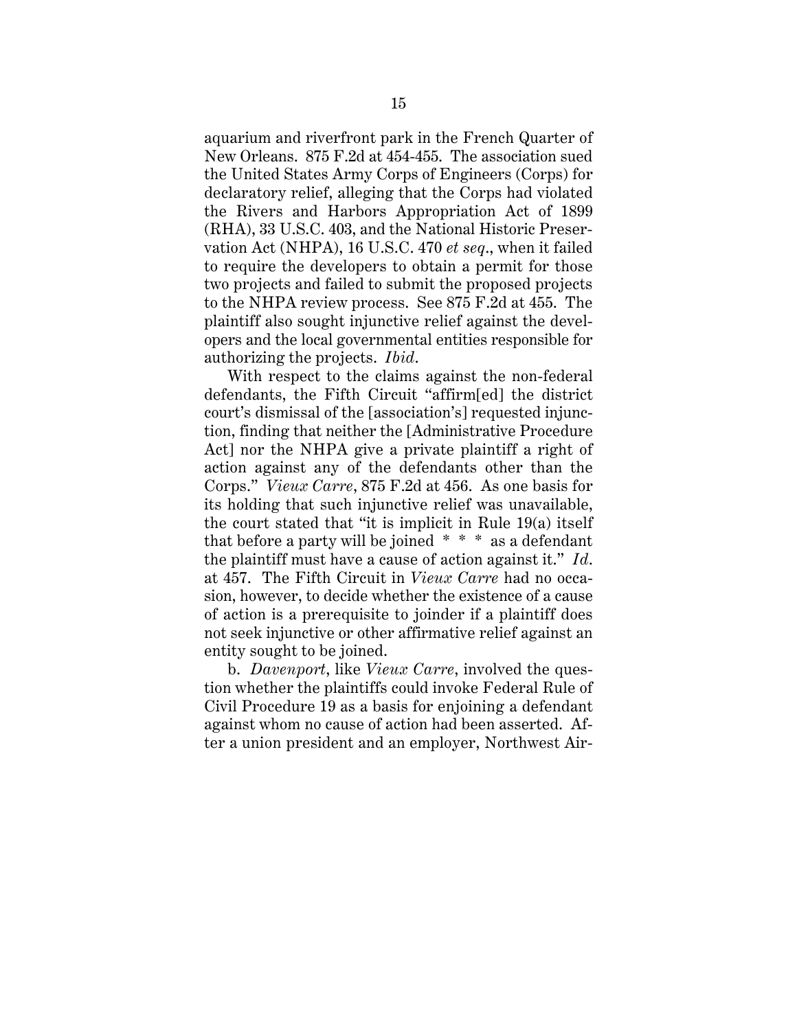aquarium and riverfront park in the French Quarter of New Orleans. 875 F.2d at 454-455. The association sued the United States Army Corps of Engineers (Corps) for declaratory relief, alleging that the Corps had violated the Rivers and Harbors Appropriation Act of 1899 (RHA), 33 U.S.C. 403, and the National Historic Preservation Act (NHPA), 16 U.S.C. 470 *et seq*., when it failed to require the developers to obtain a permit for those two projects and failed to submit the proposed projects to the NHPA review process. See 875 F.2d at 455. The plaintiff also sought injunctive relief against the developers and the local governmental entities responsible for authorizing the projects. *Ibid*.

With respect to the claims against the non-federal defendants, the Fifth Circuit "affirm[ed] the district court's dismissal of the [association's] requested injunction, finding that neither the [Administrative Procedure Act] nor the NHPA give a private plaintiff a right of action against any of the defendants other than the Corps." *Vieux Carre*, 875 F.2d at 456. As one basis for its holding that such injunctive relief was unavailable, the court stated that "it is implicit in Rule 19(a) itself that before a party will be joined  $* * *$  as a defendant the plaintiff must have a cause of action against it." *Id*. at 457. The Fifth Circuit in *Vieux Carre* had no occasion, however, to decide whether the existence of a cause of action is a prerequisite to joinder if a plaintiff does not seek injunctive or other affirmative relief against an entity sought to be joined.

b. *Davenport*, like *Vieux Carre*, involved the question whether the plaintiffs could invoke Federal Rule of Civil Procedure 19 as a basis for enjoining a defendant against whom no cause of action had been asserted. After a union president and an employer, Northwest Air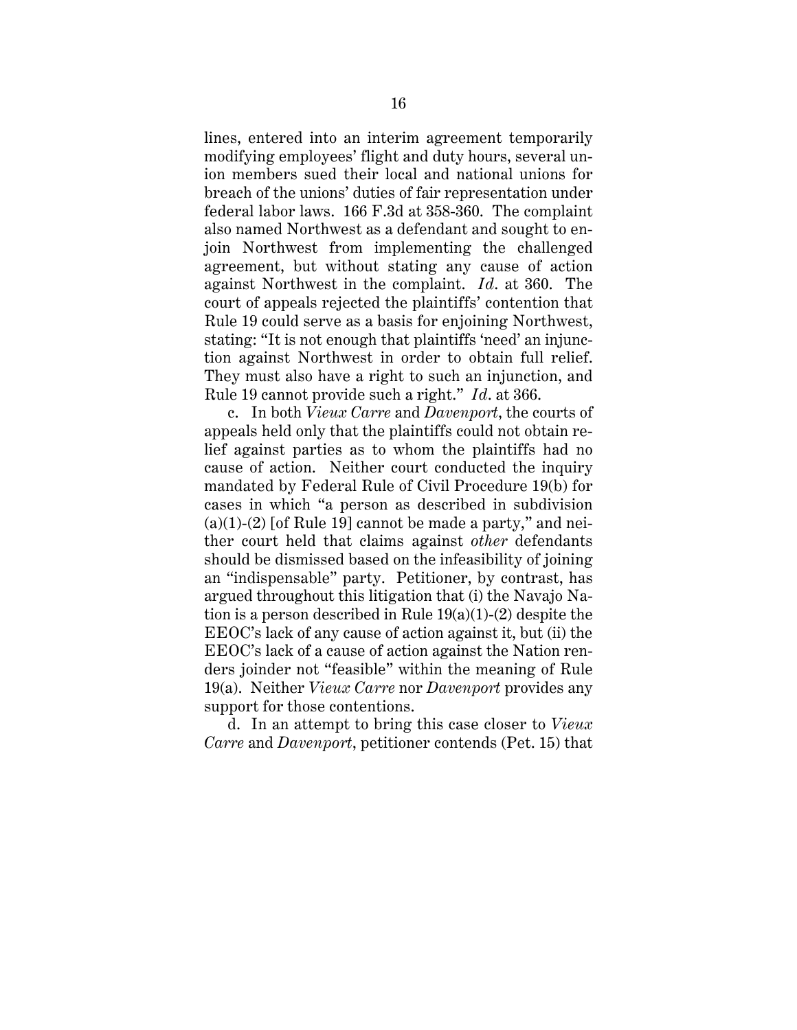lines, entered into an interim agreement temporarily modifying employees' flight and duty hours, several union members sued their local and national unions for breach of the unions' duties of fair representation under federal labor laws. 166 F.3d at 358-360. The complaint also named Northwest as a defendant and sought to enjoin Northwest from implementing the challenged agreement, but without stating any cause of action against Northwest in the complaint. *Id*. at 360. The court of appeals rejected the plaintiffs' contention that Rule 19 could serve as a basis for enjoining Northwest, stating: "It is not enough that plaintiffs 'need' an injunction against Northwest in order to obtain full relief. They must also have a right to such an injunction, and Rule 19 cannot provide such a right." *Id*. at 366.

c. In both *Vieux Carre* and *Davenport*, the courts of appeals held only that the plaintiffs could not obtain relief against parties as to whom the plaintiffs had no cause of action. Neither court conducted the inquiry mandated by Federal Rule of Civil Procedure 19(b) for cases in which "a person as described in subdivision  $(a)(1)-(2)$  [of Rule 19] cannot be made a party," and neither court held that claims against *other* defendants should be dismissed based on the infeasibility of joining an "indispensable" party. Petitioner, by contrast, has argued throughout this litigation that (i) the Navajo Nation is a person described in Rule 19(a)(1)-(2) despite the EEOC's lack of any cause of action against it, but (ii) the EEOC's lack of a cause of action against the Nation renders joinder not "feasible" within the meaning of Rule 19(a). Neither *Vieux Carre* nor *Davenport* provides any support for those contentions.

d. In an attempt to bring this case closer to *Vieux Carre* and *Davenport*, petitioner contends (Pet. 15) that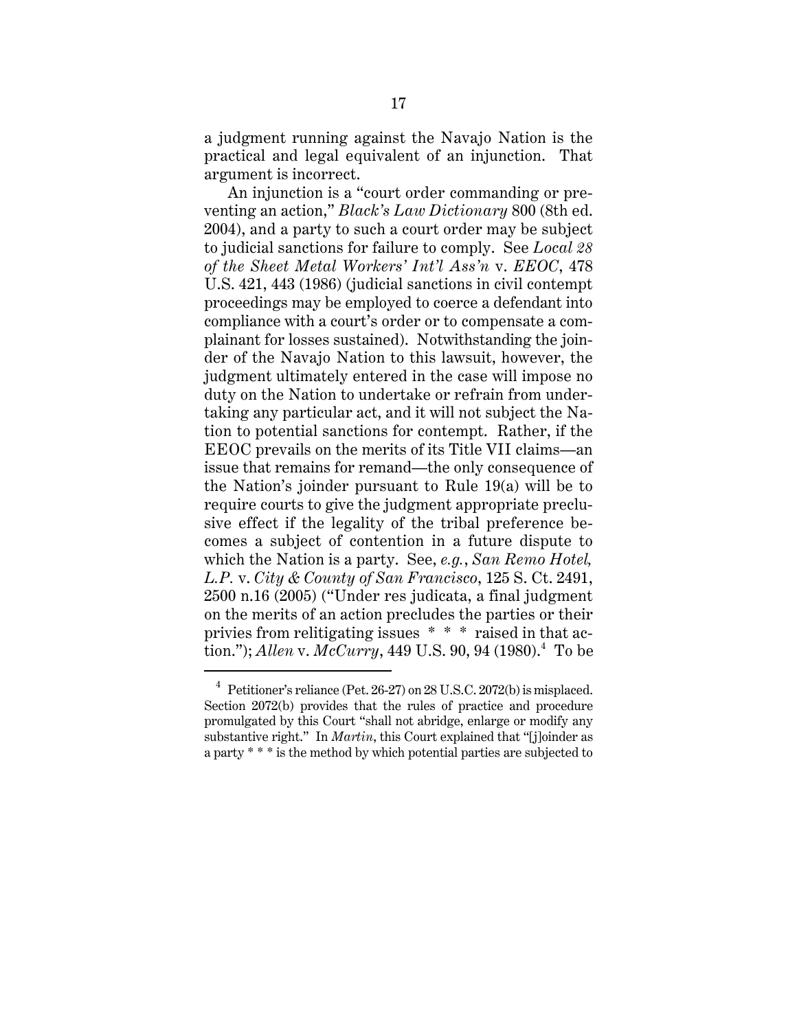a judgment running against the Navajo Nation is the practical and legal equivalent of an injunction. That argument is incorrect.

An injunction is a "court order commanding or preventing an action," *Black's Law Dictionary* 800 (8th ed. 2004), and a party to such a court order may be subject to judicial sanctions for failure to comply. See *Local 28 of the Sheet Metal Workers' Int'l Ass'n* v. *EEOC*, 478 U.S. 421, 443 (1986) (judicial sanctions in civil contempt proceedings may be employed to coerce a defendant into compliance with a court's order or to compensate a complainant for losses sustained). Notwithstanding the joinder of the Navajo Nation to this lawsuit, however, the judgment ultimately entered in the case will impose no duty on the Nation to undertake or refrain from undertaking any particular act, and it will not subject the Nation to potential sanctions for contempt. Rather, if the EEOC prevails on the merits of its Title VII claims—an issue that remains for remand—the only consequence of the Nation's joinder pursuant to Rule 19(a) will be to require courts to give the judgment appropriate preclusive effect if the legality of the tribal preference becomes a subject of contention in a future dispute to which the Nation is a party. See, *e.g.*, *San Remo Hotel, L.P.* v. *City & County of San Francisco*, 125 S. Ct. 2491, 2500 n.16 (2005) ("Under res judicata, a final judgment on the merits of an action precludes the parties or their privies from relitigating issues \* \* \* raised in that action."); *Allen* v. *McCurry*, 449 U.S. 90, 94 (1980).<sup>4</sup> To be

 $4$  Petitioner's reliance (Pet. 26-27) on 28 U.S.C. 2072(b) is misplaced. Section 2072(b) provides that the rules of practice and procedure promulgated by this Court "shall not abridge, enlarge or modify any substantive right." In *Martin*, this Court explained that "[j]oinder as a party \* \* \* is the method by which potential parties are subjected to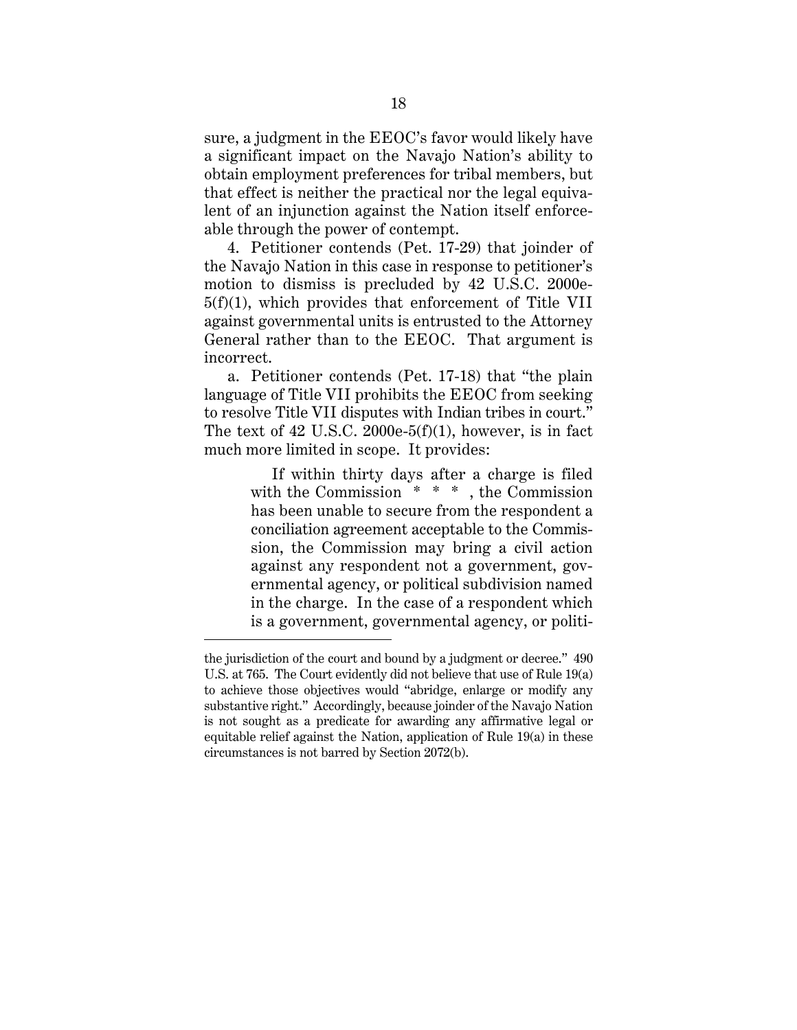sure, a judgment in the EEOC's favor would likely have a significant impact on the Navajo Nation's ability to obtain employment preferences for tribal members, but that effect is neither the practical nor the legal equivalent of an injunction against the Nation itself enforceable through the power of contempt.

4. Petitioner contends (Pet. 17-29) that joinder of the Navajo Nation in this case in response to petitioner's motion to dismiss is precluded by 42 U.S.C. 2000e-5(f)(1), which provides that enforcement of Title VII against governmental units is entrusted to the Attorney General rather than to the EEOC. That argument is incorrect.

a. Petitioner contends (Pet. 17-18) that "the plain language of Title VII prohibits the EEOC from seeking to resolve Title VII disputes with Indian tribes in court." The text of 42 U.S.C. 2000e-5(f)(1), however, is in fact much more limited in scope. It provides:

> If within thirty days after a charge is filed with the Commission \* \* \* , the Commission has been unable to secure from the respondent a conciliation agreement acceptable to the Commission, the Commission may bring a civil action against any respondent not a government, governmental agency, or political subdivision named in the charge. In the case of a respondent which is a government, governmental agency, or politi-

the jurisdiction of the court and bound by a judgment or decree." 490 U.S. at 765. The Court evidently did not believe that use of Rule 19(a) to achieve those objectives would "abridge, enlarge or modify any substantive right." Accordingly, because joinder of the Navajo Nation is not sought as a predicate for awarding any affirmative legal or equitable relief against the Nation, application of Rule 19(a) in these circumstances is not barred by Section 2072(b).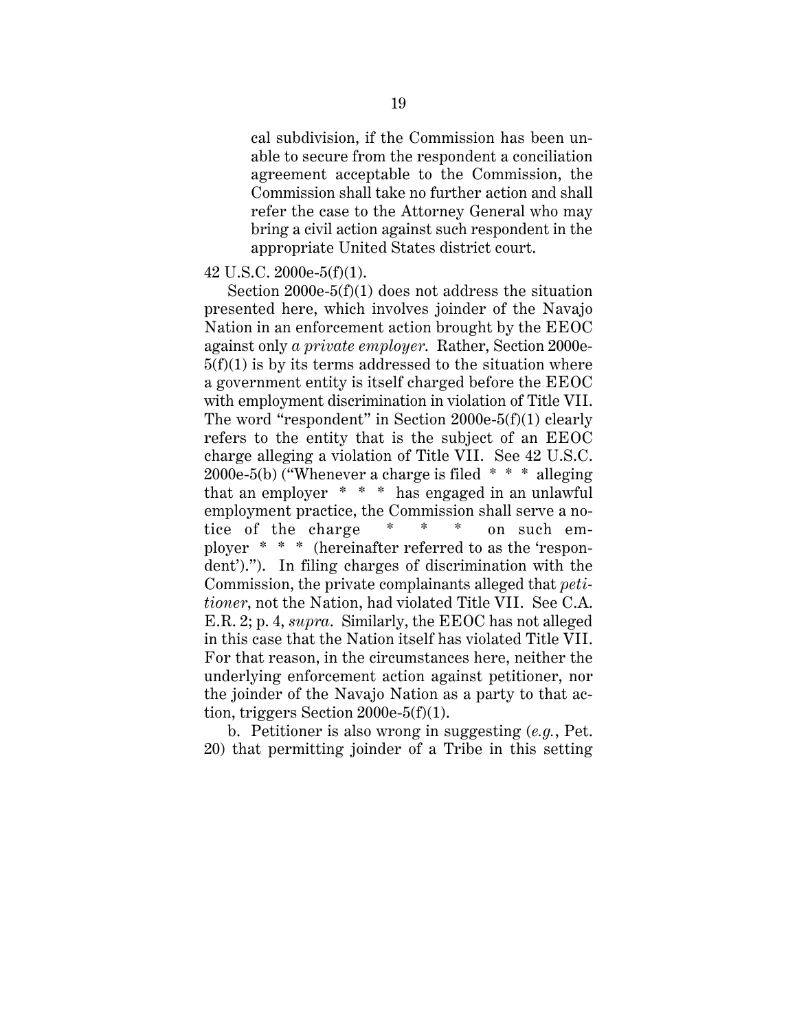cal subdivision, if the Commission has been unable to secure from the respondent a conciliation agreement acceptable to the Commission, the Commission shall take no further action and shall refer the case to the Attorney General who may bring a civil action against such respondent in the appropriate United States district court.

## 42 U.S.C. 2000e-5(f)(1).

Section 2000e-5(f)(1) does not address the situation presented here, which involves joinder of the Navajo Nation in an enforcement action brought by the EEOC against only *a private employer*. Rather, Section 2000e- $5(f)(1)$  is by its terms addressed to the situation where a government entity is itself charged before the EEOC with employment discrimination in violation of Title VII. The word "respondent" in Section 2000e-5(f)(1) clearly refers to the entity that is the subject of an EEOC charge alleging a violation of Title VII. See 42 U.S.C. 2000e-5(b) ("Whenever a charge is filed  $* * *$  alleging that an employer \* \* \* has engaged in an unlawful employment practice, the Commission shall serve a notice of the charge \* \* \* on such employer \* \* \* (hereinafter referred to as the 'respondent')."). In filing charges of discrimination with the Commission, the private complainants alleged that *petitioner*, not the Nation, had violated Title VII. See C.A. E.R. 2; p. 4, *supra*. Similarly, the EEOC has not alleged in this case that the Nation itself has violated Title VII. For that reason, in the circumstances here, neither the underlying enforcement action against petitioner, nor the joinder of the Navajo Nation as a party to that action, triggers Section 2000e-5(f)(1).

b. Petitioner is also wrong in suggesting (*e.g.*, Pet. 20) that permitting joinder of a Tribe in this setting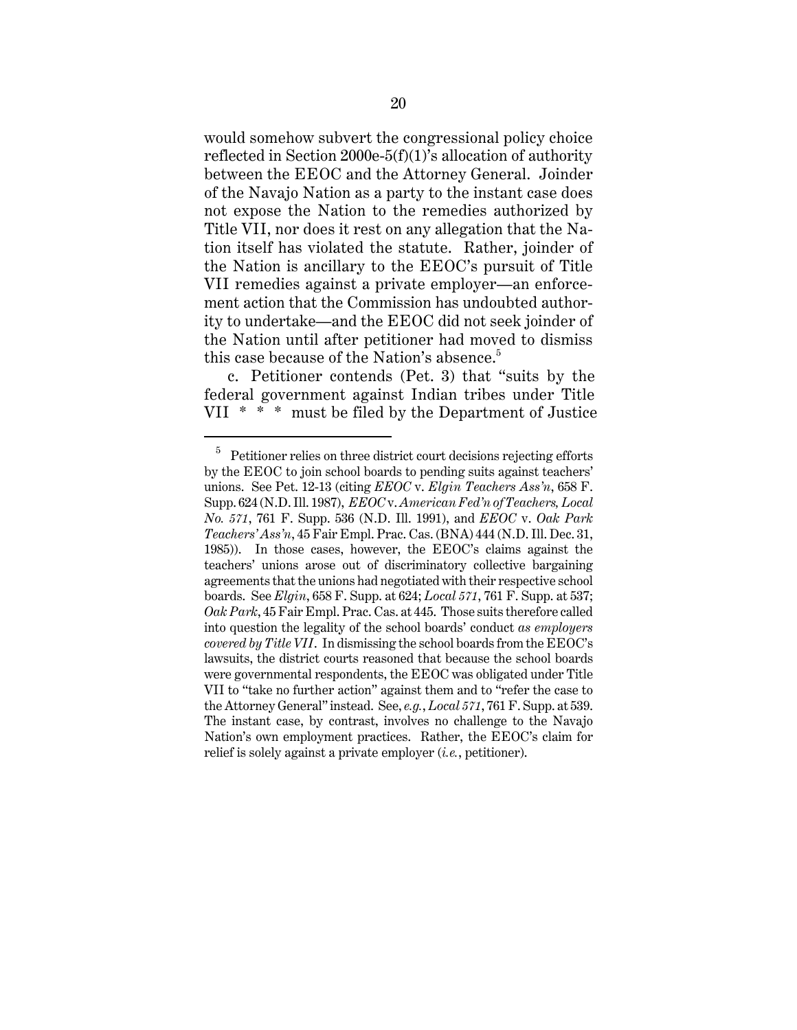would somehow subvert the congressional policy choice reflected in Section 2000e-5(f)(1)'s allocation of authority between the EEOC and the Attorney General. Joinder of the Navajo Nation as a party to the instant case does not expose the Nation to the remedies authorized by Title VII, nor does it rest on any allegation that the Nation itself has violated the statute. Rather, joinder of the Nation is ancillary to the EEOC's pursuit of Title VII remedies against a private employer—an enforcement action that the Commission has undoubted authority to undertake—and the EEOC did not seek joinder of the Nation until after petitioner had moved to dismiss this case because of the Nation's absence.<sup>5</sup>

c. Petitioner contends (Pet. 3) that "suits by the federal government against Indian tribes under Title VII \* \* \* must be filed by the Department of Justice

 $5$  Petitioner relies on three district court decisions rejecting efforts by the EEOC to join school boards to pending suits against teachers' unions. See Pet. 12-13 (citing *EEOC* v. *Elgin Teachers Ass'n*, 658 F. Supp. 624 (N.D. Ill. 1987), *EEOC* v. *American Fed'n of Teachers, Local No. 571*, 761 F. Supp. 536 (N.D. Ill. 1991), and *EEOC* v. *Oak Park Teachers' Ass'n*, 45 Fair Empl. Prac. Cas. (BNA) 444 (N.D. Ill. Dec. 31, 1985)). In those cases, however, the EEOC's claims against the teachers' unions arose out of discriminatory collective bargaining agreements that the unions had negotiated with their respective school boards. See *Elgin*, 658 F. Supp. at 624; *Local 571*, 761 F. Supp. at 537; *Oak Park*, 45 Fair Empl. Prac. Cas. at 445. Those suits therefore called into question the legality of the school boards' conduct *as employers covered by Title VII*. In dismissing the school boards from the EEOC's lawsuits, the district courts reasoned that because the school boards were governmental respondents, the EEOC was obligated under Title VII to "take no further action" against them and to "refer the case to the Attorney General" instead. See, *e.g.*, *Local 571*, 761 F. Supp. at 539. The instant case, by contrast, involves no challenge to the Navajo Nation's own employment practices. Rather, the EEOC's claim for relief is solely against a private employer (*i.e.*, petitioner).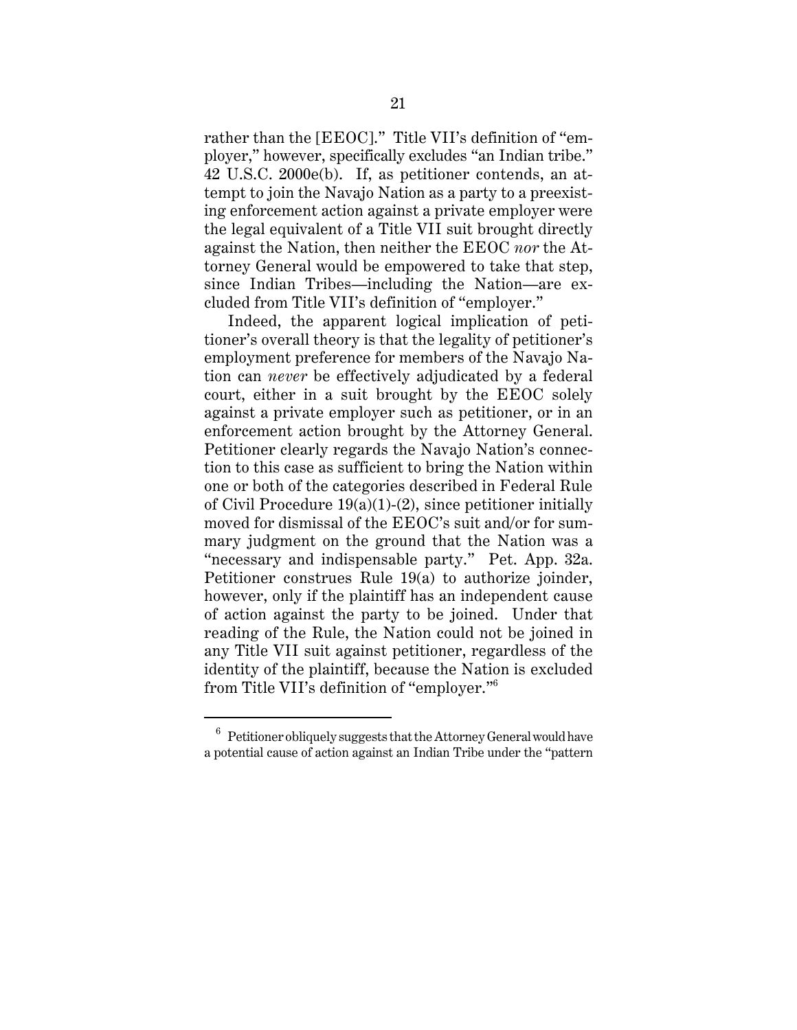rather than the [EEOC]." Title VII's definition of "employer," however, specifically excludes "an Indian tribe." 42 U.S.C. 2000e(b). If, as petitioner contends, an attempt to join the Navajo Nation as a party to a preexisting enforcement action against a private employer were the legal equivalent of a Title VII suit brought directly against the Nation, then neither the EEOC *nor* the Attorney General would be empowered to take that step, since Indian Tribes—including the Nation—are excluded from Title VII's definition of "employer."

Indeed, the apparent logical implication of petitioner's overall theory is that the legality of petitioner's employment preference for members of the Navajo Nation can *never* be effectively adjudicated by a federal court, either in a suit brought by the EEOC solely against a private employer such as petitioner, or in an enforcement action brought by the Attorney General. Petitioner clearly regards the Navajo Nation's connection to this case as sufficient to bring the Nation within one or both of the categories described in Federal Rule of Civil Procedure 19(a)(1)-(2), since petitioner initially moved for dismissal of the EEOC's suit and/or for summary judgment on the ground that the Nation was a "necessary and indispensable party." Pet. App. 32a. Petitioner construes Rule 19(a) to authorize joinder, however, only if the plaintiff has an independent cause of action against the party to be joined. Under that reading of the Rule, the Nation could not be joined in any Title VII suit against petitioner, regardless of the identity of the plaintiff, because the Nation is excluded from Title VII's definition of "employer."<sup>6</sup>

 $6$  Petitioner obliquely suggests that the Attorney General would have a potential cause of action against an Indian Tribe under the "pattern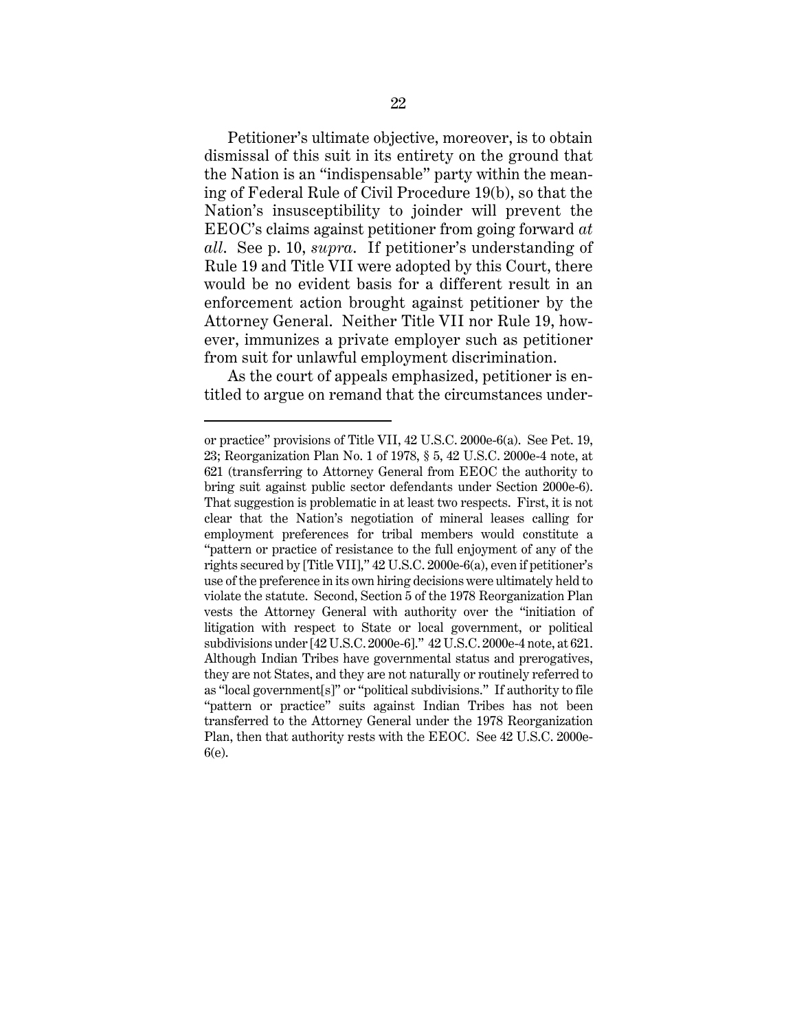Petitioner's ultimate objective, moreover, is to obtain dismissal of this suit in its entirety on the ground that the Nation is an "indispensable" party within the meaning of Federal Rule of Civil Procedure 19(b), so that the Nation's insusceptibility to joinder will prevent the EEOC's claims against petitioner from going forward *at all*. See p. 10, *supra*. If petitioner's understanding of Rule 19 and Title VII were adopted by this Court, there would be no evident basis for a different result in an enforcement action brought against petitioner by the Attorney General. Neither Title VII nor Rule 19, however, immunizes a private employer such as petitioner from suit for unlawful employment discrimination.

As the court of appeals emphasized, petitioner is entitled to argue on remand that the circumstances under-

or practice" provisions of Title VII, 42 U.S.C. 2000e-6(a). See Pet. 19, 23; Reorganization Plan No. 1 of 1978, § 5, 42 U.S.C. 2000e-4 note, at 621 (transferring to Attorney General from EEOC the authority to bring suit against public sector defendants under Section 2000e-6). That suggestion is problematic in at least two respects. First, it is not clear that the Nation's negotiation of mineral leases calling for employment preferences for tribal members would constitute a "pattern or practice of resistance to the full enjoyment of any of the rights secured by [Title VII]," 42 U.S.C. 2000e-6(a), even if petitioner's use of the preference in its own hiring decisions were ultimately held to violate the statute. Second, Section 5 of the 1978 Reorganization Plan vests the Attorney General with authority over the "initiation of litigation with respect to State or local government, or political subdivisions under [42 U.S.C. 2000e-6]." 42 U.S.C. 2000e-4 note, at 621. Although Indian Tribes have governmental status and prerogatives, they are not States, and they are not naturally or routinely referred to as "local government[s]" or "political subdivisions." If authority to file "pattern or practice" suits against Indian Tribes has not been transferred to the Attorney General under the 1978 Reorganization Plan, then that authority rests with the EEOC. See 42 U.S.C. 2000e-6(e).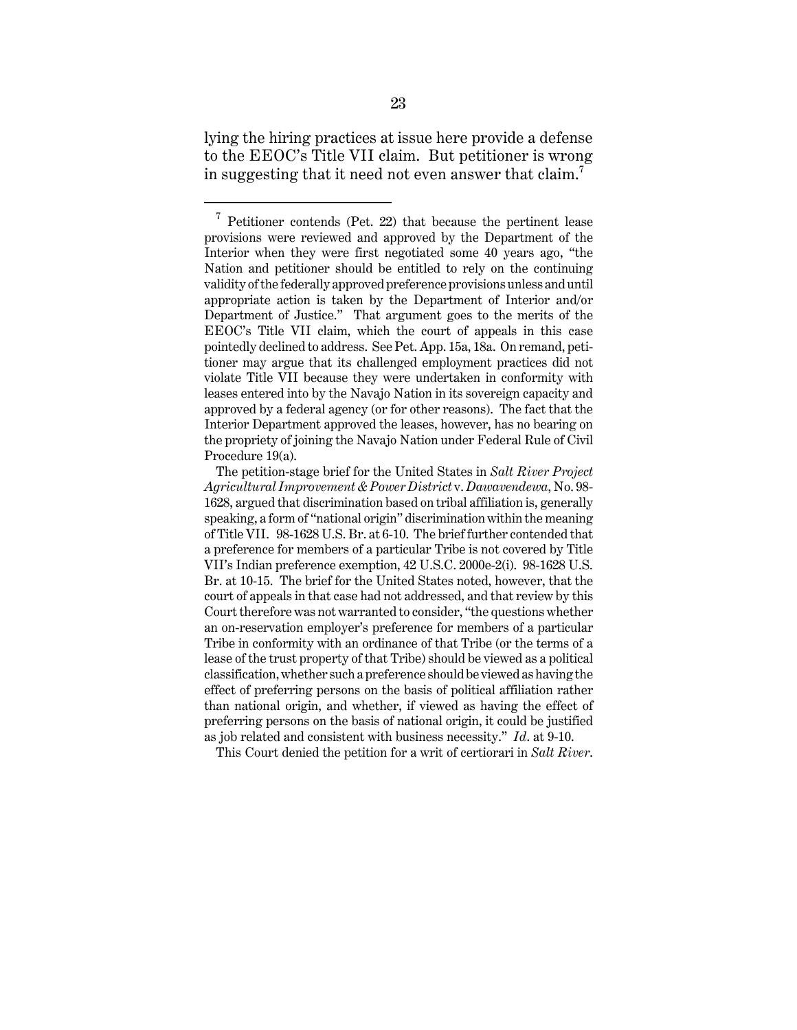lying the hiring practices at issue here provide a defense to the EEOC's Title VII claim. But petitioner is wrong in suggesting that it need not even answer that claim.<sup>7</sup>

This Court denied the petition for a writ of certiorari in *Salt River*.

 $7$  Petitioner contends (Pet. 22) that because the pertinent lease provisions were reviewed and approved by the Department of the Interior when they were first negotiated some 40 years ago, "the Nation and petitioner should be entitled to rely on the continuing validity of the federally approved preference provisions unless and until appropriate action is taken by the Department of Interior and/or Department of Justice." That argument goes to the merits of the EEOC's Title VII claim, which the court of appeals in this case pointedly declined to address. See Pet. App. 15a, 18a. On remand, petitioner may argue that its challenged employment practices did not violate Title VII because they were undertaken in conformity with leases entered into by the Navajo Nation in its sovereign capacity and approved by a federal agency (or for other reasons). The fact that the Interior Department approved the leases, however, has no bearing on the propriety of joining the Navajo Nation under Federal Rule of Civil Procedure 19(a).

The petition-stage brief for the United States in *Salt River Project Agricultural Improvement & Power District* v. *Dawavendewa*, No. 98- 1628, argued that discrimination based on tribal affiliation is, generally speaking, a form of "national origin" discrimination within the meaning of Title VII. 98-1628 U.S. Br. at 6-10. The brief further contended that a preference for members of a particular Tribe is not covered by Title VII's Indian preference exemption, 42 U.S.C. 2000e-2(i). 98-1628 U.S. Br. at 10-15. The brief for the United States noted, however, that the court of appeals in that case had not addressed, and that review by this Court therefore was not warranted to consider, "the questions whether an on-reservation employer's preference for members of a particular Tribe in conformity with an ordinance of that Tribe (or the terms of a lease of the trust property of that Tribe) should be viewed as a political classification, whether such a preference should be viewed as having the effect of preferring persons on the basis of political affiliation rather than national origin, and whether, if viewed as having the effect of preferring persons on the basis of national origin, it could be justified as job related and consistent with business necessity." *Id*. at 9-10.